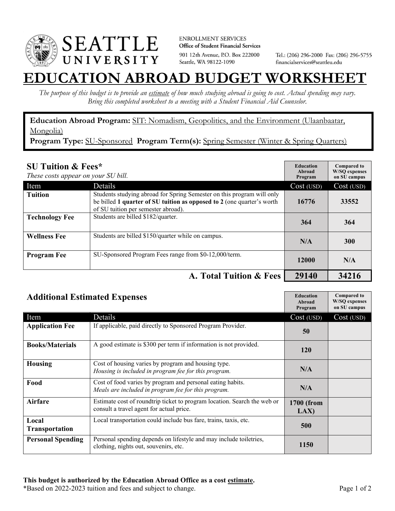

**ENROLLMENT SERVICES** Office of Student Financial Services 901 12th Avenue, P.O. Box 222000 Seattle, WA 98122-1090

Tel.: (206) 296-2000 Fax: (206) 296-5755 financialservices@seattleu.edu

## **EATION ABROAD BUDGET WORKSHEE**

*The purpose of this budget is to provide an estimate of how much studying abroad is going to cost. Actual spending may vary. Bring this completed worksheet to a meeting with a Student Financial Aid Counselor.* 

**Education Abroad Program:** SIT: Nomadism, Geopolitics, and the Environment (Ulaanbaatar, Mongolia)

Program Type: SU-Sponsored Program Term(s): Spring Semester (Winter & Spring Quarters)

| <b>SU Tuition &amp; Fees*</b><br>These costs appear on your SU bill. |                                                                                                                                                                                         | <b>Education</b><br>Abroad<br>Program | <b>Compared to</b><br><b>W/SO</b> expenses<br>on SU campus |
|----------------------------------------------------------------------|-----------------------------------------------------------------------------------------------------------------------------------------------------------------------------------------|---------------------------------------|------------------------------------------------------------|
| Item                                                                 | Details                                                                                                                                                                                 | Cost (USD)                            | Cost (USD)                                                 |
| <b>Tuition</b>                                                       | Students studying abroad for Spring Semester on this program will only<br>be billed 1 quarter of SU tuition as opposed to 2 (one quarter's worth<br>of SU tuition per semester abroad). | 16776                                 | 33552                                                      |
| <b>Technology Fee</b>                                                | Students are billed \$182/quarter.                                                                                                                                                      | 364                                   | 364                                                        |
| <b>Wellness Fee</b>                                                  | Students are billed \$150/quarter while on campus.                                                                                                                                      | N/A                                   | 300                                                        |
| <b>Program Fee</b>                                                   | SU-Sponsored Program Fees range from \$0-12,000/term.                                                                                                                                   | 12000                                 | N/A                                                        |
|                                                                      | A. Total Tuition & Fees                                                                                                                                                                 | 29140                                 | 34216                                                      |

| <b>Additional Estimated Expenses</b> |                                                                                                                      | <b>Education</b><br>Abroad<br>Program | <b>Compared to</b><br><b>W/SQ</b> expenses<br>on SU campus |
|--------------------------------------|----------------------------------------------------------------------------------------------------------------------|---------------------------------------|------------------------------------------------------------|
| Item                                 | Details                                                                                                              | Cost (USD)                            | Cost (USD)                                                 |
| <b>Application Fee</b>               | If applicable, paid directly to Sponsored Program Provider.                                                          | 50                                    |                                                            |
| <b>Books/Materials</b>               | A good estimate is \$300 per term if information is not provided.                                                    | 120                                   |                                                            |
| <b>Housing</b>                       | Cost of housing varies by program and housing type.<br>Housing is included in program fee for this program.          | N/A                                   |                                                            |
| Food                                 | Cost of food varies by program and personal eating habits.<br>Meals are included in program fee for this program.    | N/A                                   |                                                            |
| <b>Airfare</b>                       | Estimate cost of roundtrip ticket to program location. Search the web or<br>consult a travel agent for actual price. | 1700 (from<br>LAX                     |                                                            |
| Local<br><b>Transportation</b>       | Local transportation could include bus fare, trains, taxis, etc.                                                     | 500                                   |                                                            |
| <b>Personal Spending</b>             | Personal spending depends on lifestyle and may include toiletries,<br>clothing, nights out, souvenirs, etc.          | 1150                                  |                                                            |